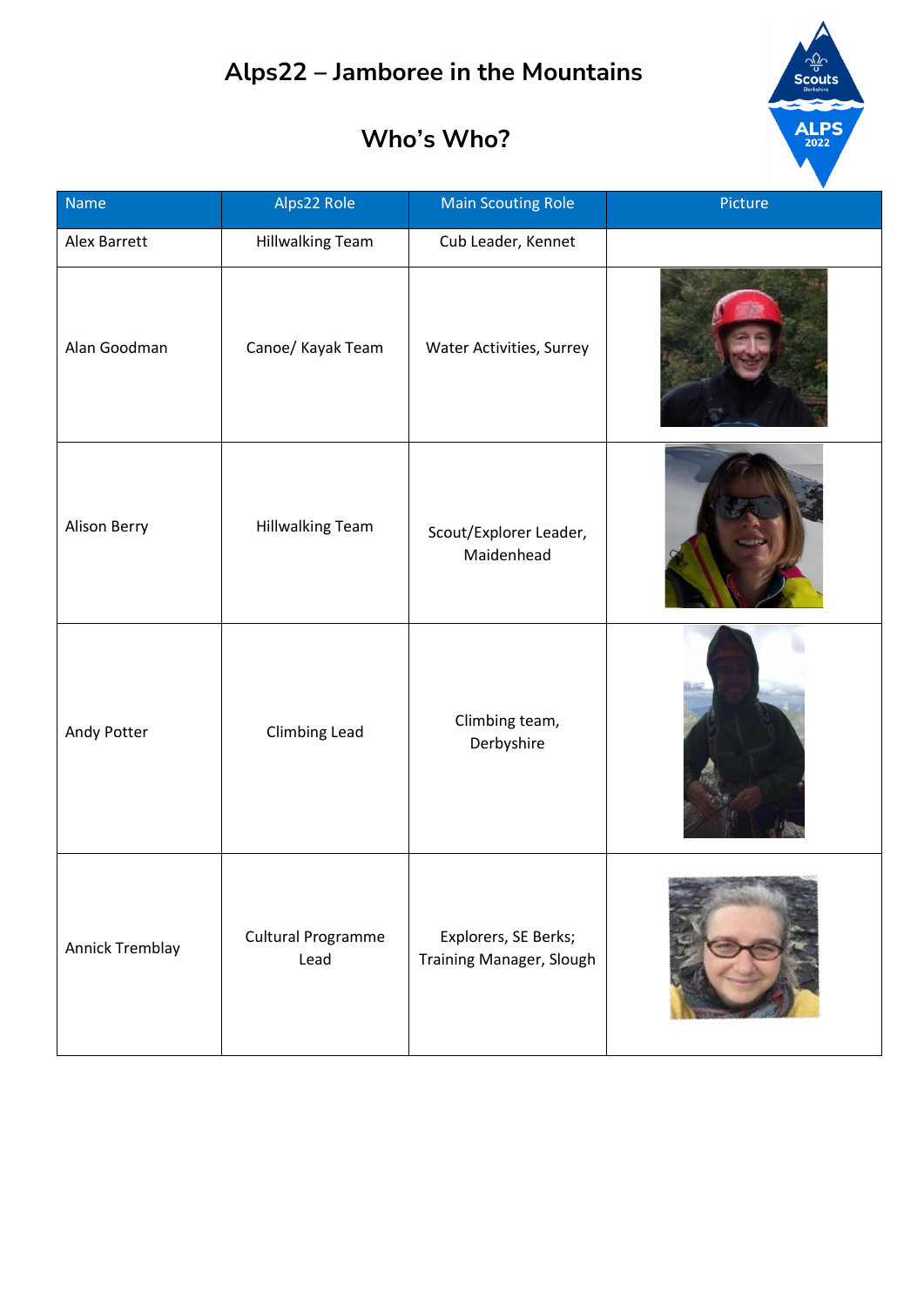# $\frac{1}{\sqrt{10}}$ <br>Scouts  $ALPS<sub>2022</sub>$

| Name            | Alps22 Role                       | <b>Main Scouting Role</b>                        | Picture |
|-----------------|-----------------------------------|--------------------------------------------------|---------|
| Alex Barrett    | <b>Hillwalking Team</b>           | Cub Leader, Kennet                               |         |
| Alan Goodman    | Canoe/ Kayak Team                 | Water Activities, Surrey                         |         |
| Alison Berry    | <b>Hillwalking Team</b>           | Scout/Explorer Leader,<br>Maidenhead             |         |
| Andy Potter     | Climbing Lead                     | Climbing team,<br>Derbyshire                     |         |
| Annick Tremblay | <b>Cultural Programme</b><br>Lead | Explorers, SE Berks;<br>Training Manager, Slough |         |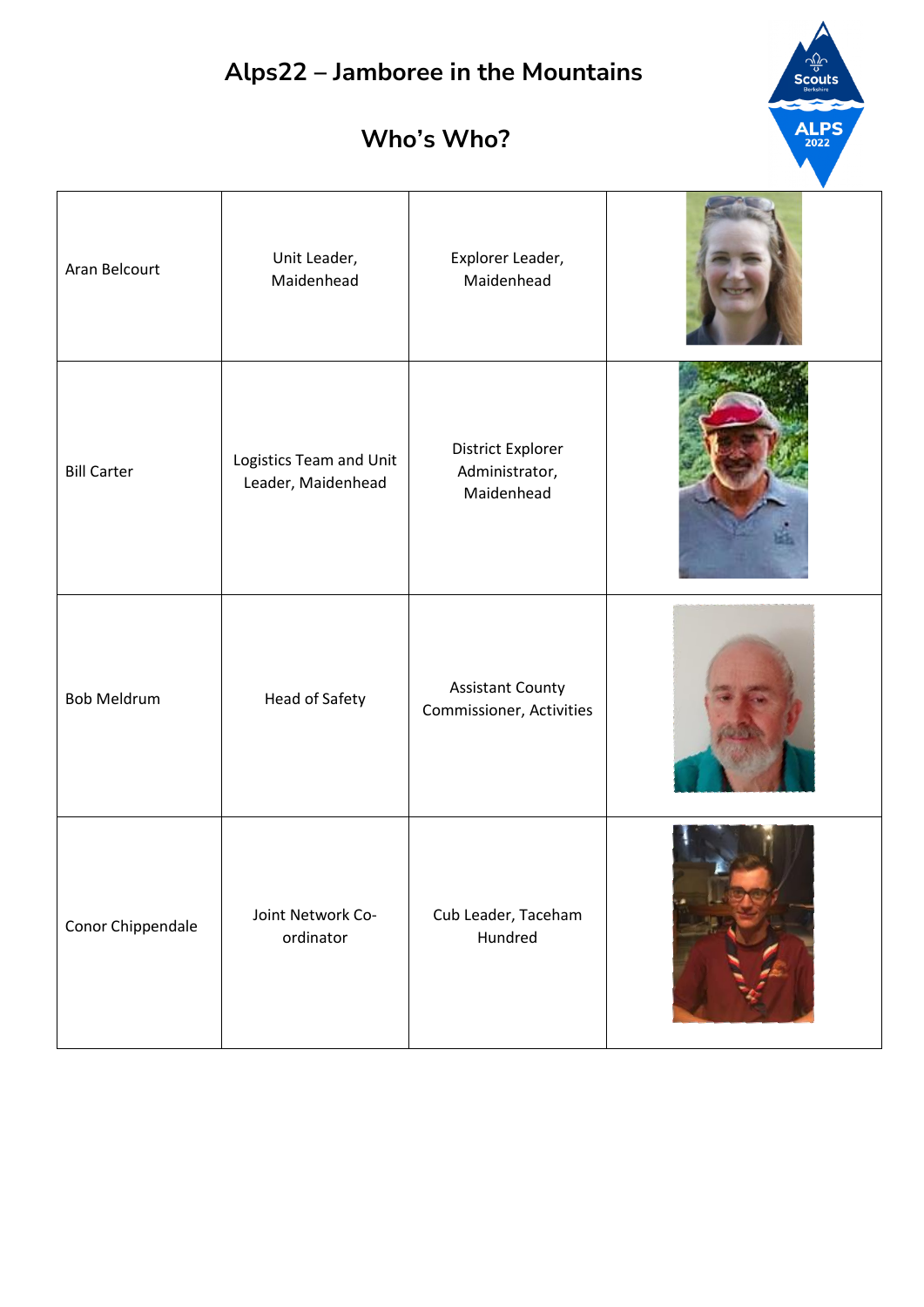| Who's Who? |  |  |  |  |
|------------|--|--|--|--|
|            |  |  |  |  |

| Aran Belcourt      | Unit Leader,<br>Maidenhead                    | Explorer Leader,<br>Maidenhead                      |  |
|--------------------|-----------------------------------------------|-----------------------------------------------------|--|
| <b>Bill Carter</b> | Logistics Team and Unit<br>Leader, Maidenhead | District Explorer<br>Administrator,<br>Maidenhead   |  |
| <b>Bob Meldrum</b> | Head of Safety                                | <b>Assistant County</b><br>Commissioner, Activities |  |
| Conor Chippendale  | Joint Network Co-<br>ordinator                | Cub Leader, Taceham<br>Hundred                      |  |

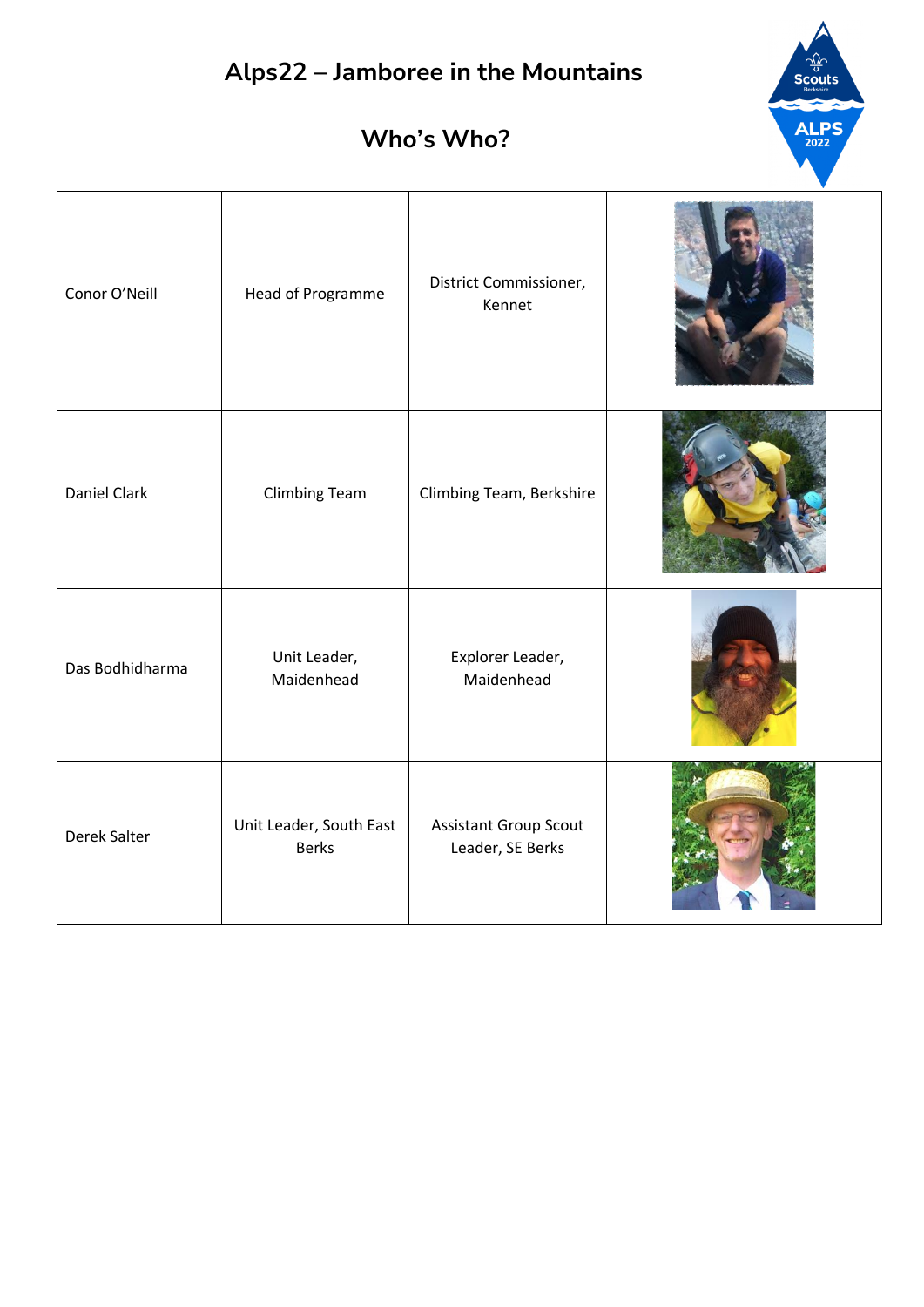$\frac{d\mathbf{w}}{d\mathbf{w}}$ Scouts

**ALPS** 

| Conor O'Neill   | Head of Programme                       | District Commissioner,<br>Kennet                 |  |
|-----------------|-----------------------------------------|--------------------------------------------------|--|
| Daniel Clark    | <b>Climbing Team</b>                    | Climbing Team, Berkshire                         |  |
| Das Bodhidharma | Unit Leader,<br>Maidenhead              | Explorer Leader,<br>Maidenhead                   |  |
| Derek Salter    | Unit Leader, South East<br><b>Berks</b> | <b>Assistant Group Scout</b><br>Leader, SE Berks |  |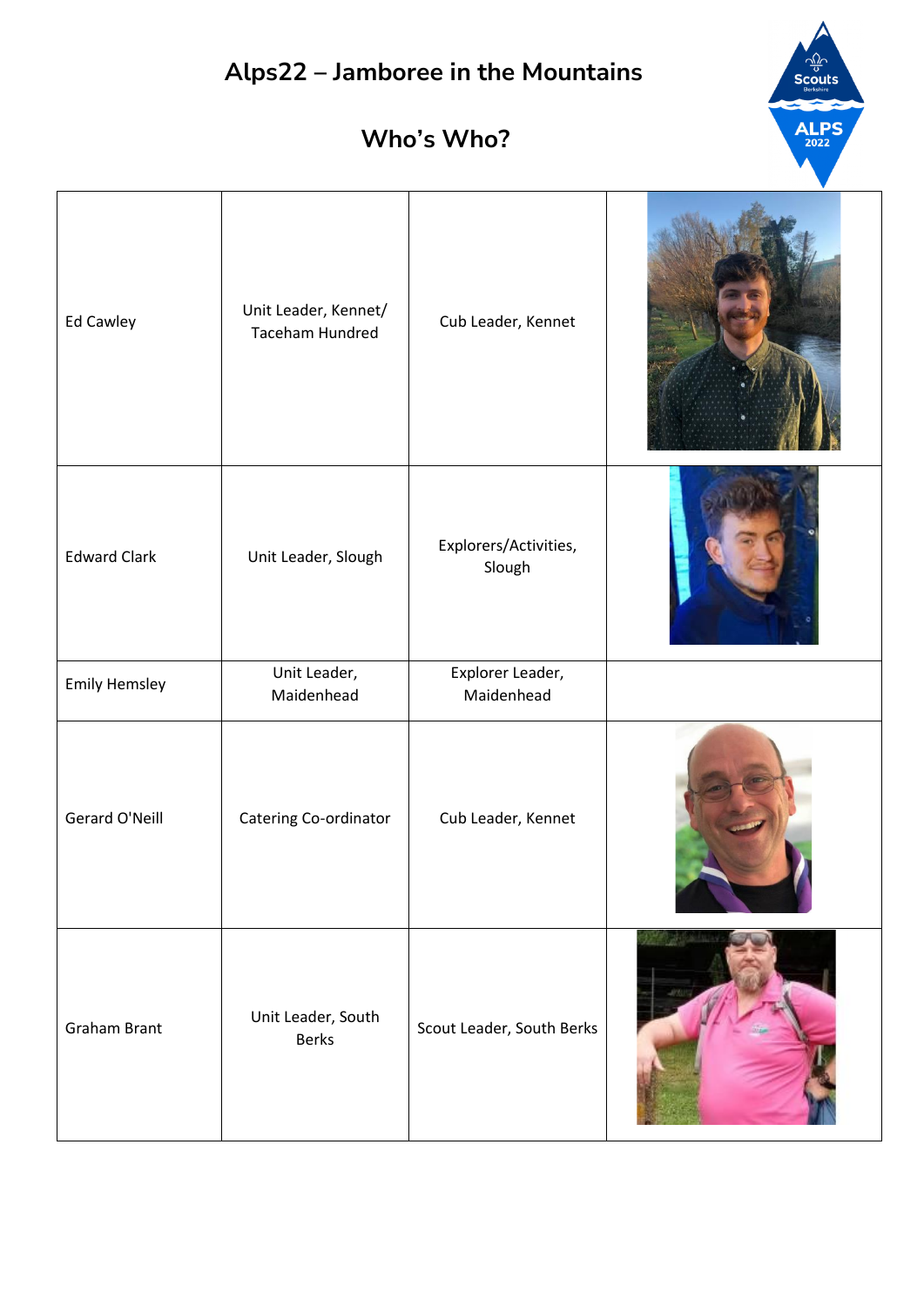

| Ed Cawley            | Unit Leader, Kennet/<br><b>Taceham Hundred</b> | Cub Leader, Kennet              |  |
|----------------------|------------------------------------------------|---------------------------------|--|
| <b>Edward Clark</b>  | Unit Leader, Slough                            | Explorers/Activities,<br>Slough |  |
| <b>Emily Hemsley</b> | Unit Leader,<br>Maidenhead                     | Explorer Leader,<br>Maidenhead  |  |
| Gerard O'Neill       | Catering Co-ordinator                          | Cub Leader, Kennet              |  |
| <b>Graham Brant</b>  | Unit Leader, South<br><b>Berks</b>             | Scout Leader, South Berks       |  |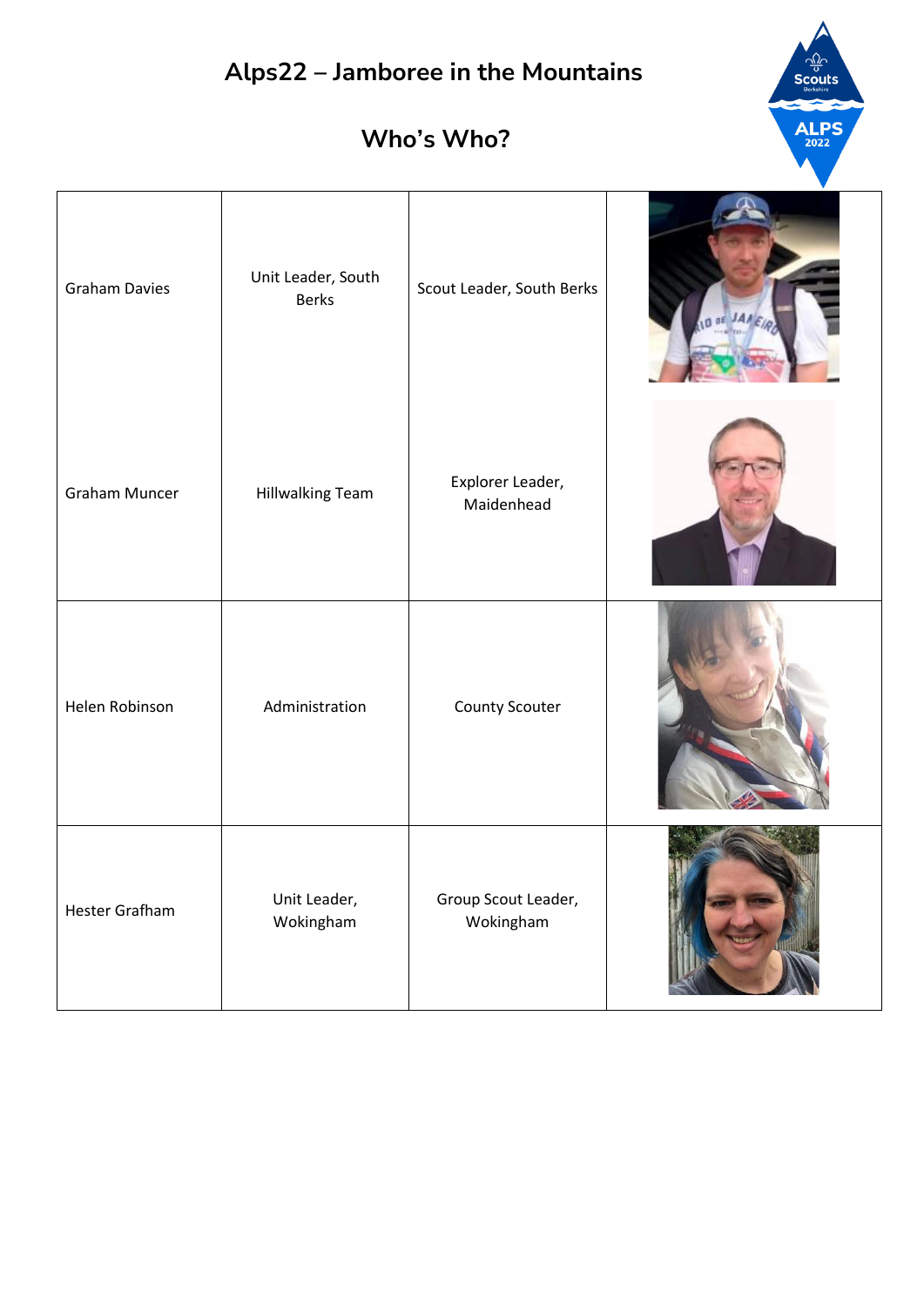



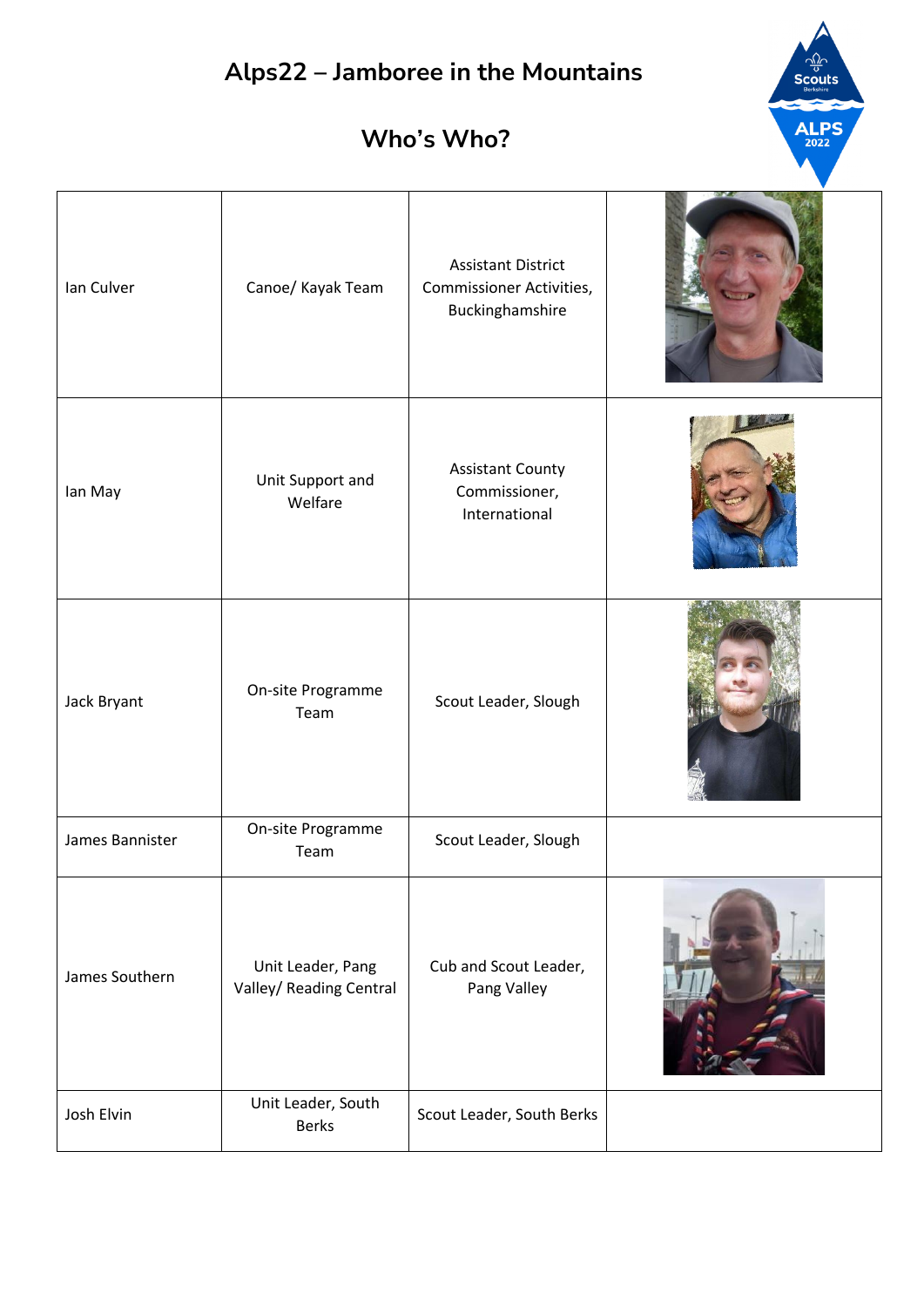#### **Who's Who?**

**ALPS** 

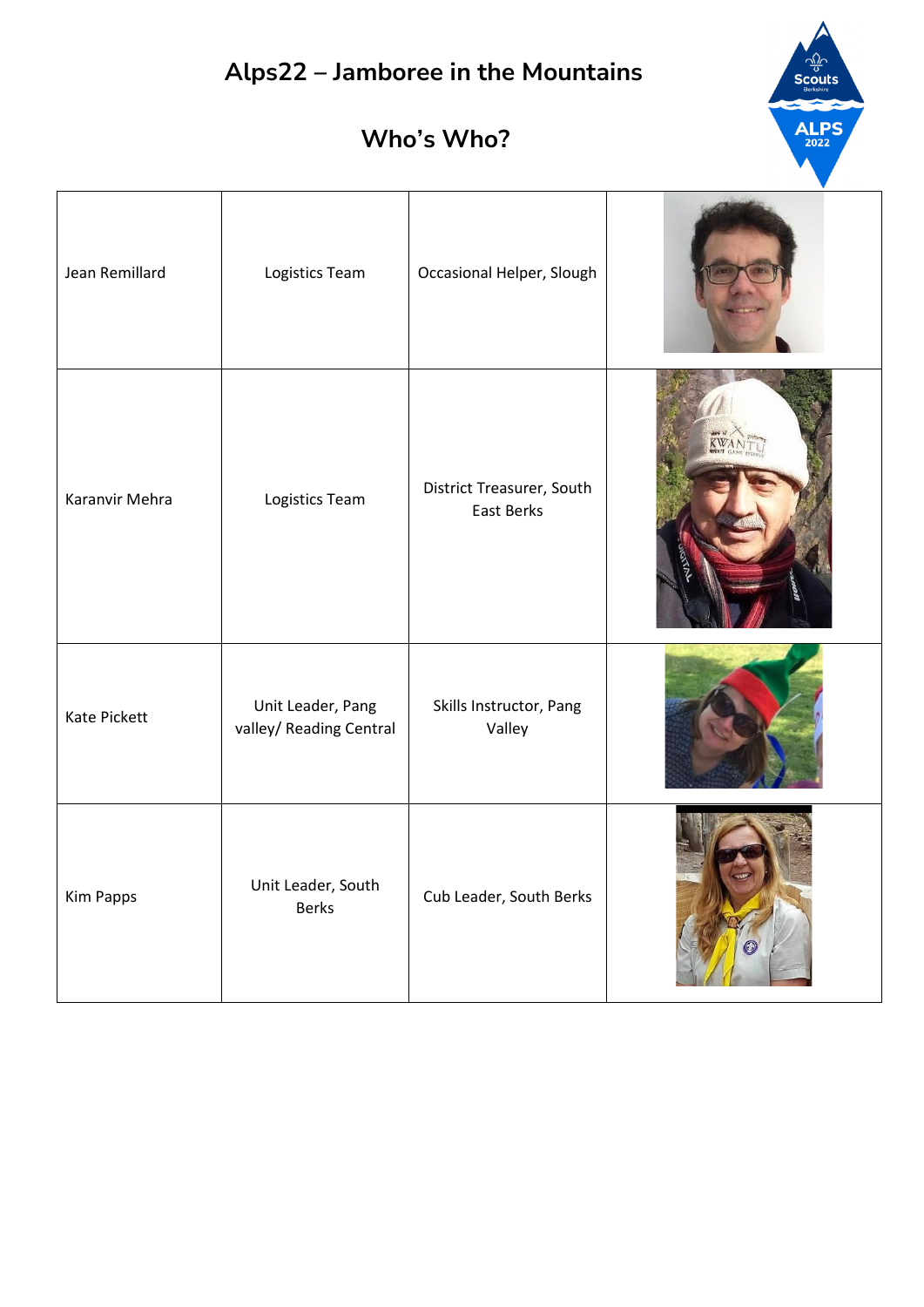

| Jean Remillard | Logistics Team                               | Occasional Helper, Slough                      |  |
|----------------|----------------------------------------------|------------------------------------------------|--|
| Karanvir Mehra | Logistics Team                               | District Treasurer, South<br><b>East Berks</b> |  |
| Kate Pickett   | Unit Leader, Pang<br>valley/ Reading Central | Skills Instructor, Pang<br>Valley              |  |
| Kim Papps      | Unit Leader, South<br>Berks                  | Cub Leader, South Berks                        |  |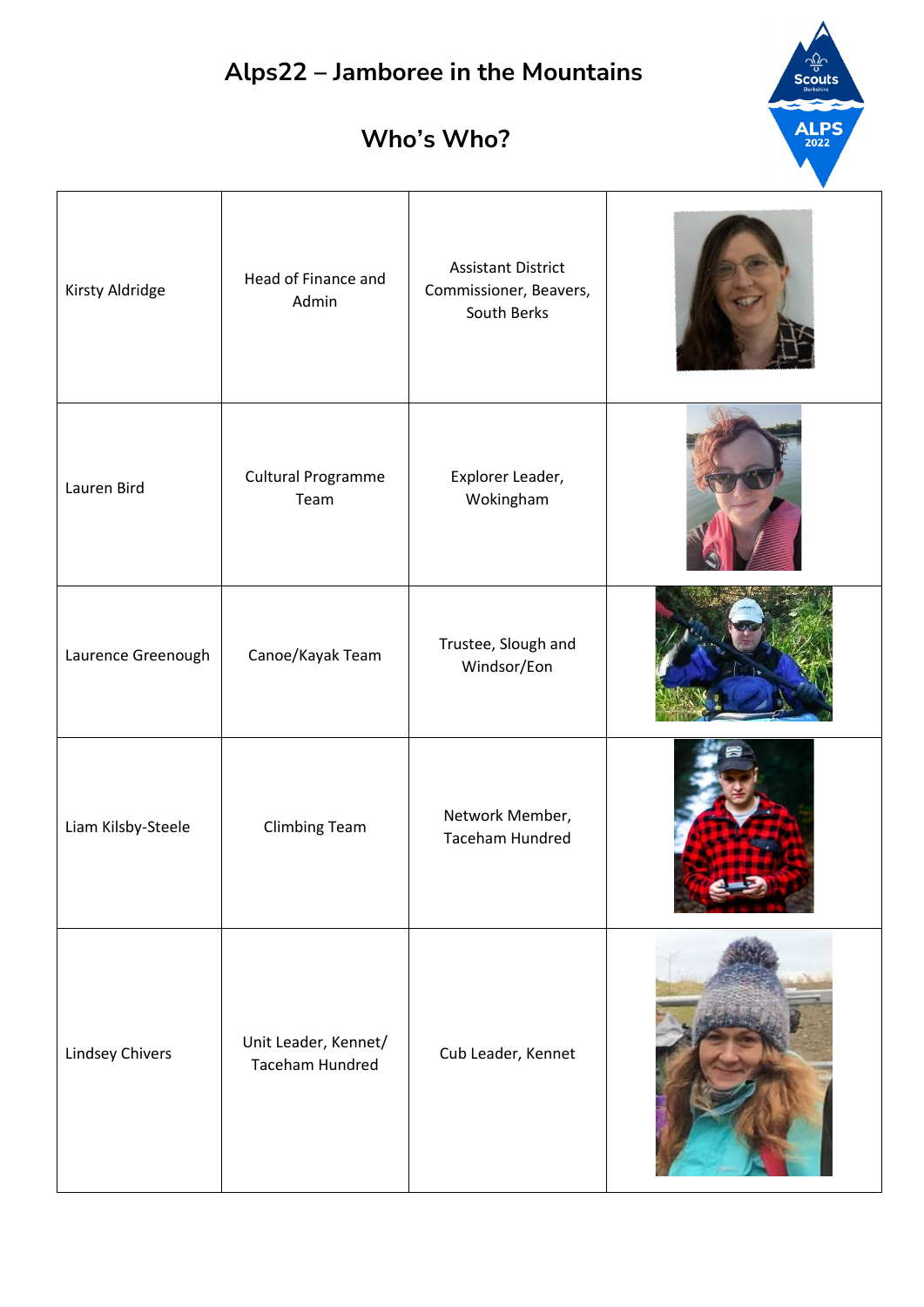$\frac{1}{\sqrt{2}}$ Scouts

ALPS

| Kirsty Aldridge    | Head of Finance and<br>Admin            | <b>Assistant District</b><br>Commissioner, Beavers,<br>South Berks |  |
|--------------------|-----------------------------------------|--------------------------------------------------------------------|--|
| Lauren Bird        | <b>Cultural Programme</b><br>Team       | Explorer Leader,<br>Wokingham                                      |  |
| Laurence Greenough | Canoe/Kayak Team                        | Trustee, Slough and<br>Windsor/Eon                                 |  |
| Liam Kilsby-Steele | <b>Climbing Team</b>                    | Network Member,<br><b>Taceham Hundred</b>                          |  |
| Lindsey Chivers    | Unit Leader, Kennet/<br>Taceham Hundred | Cub Leader, Kennet                                                 |  |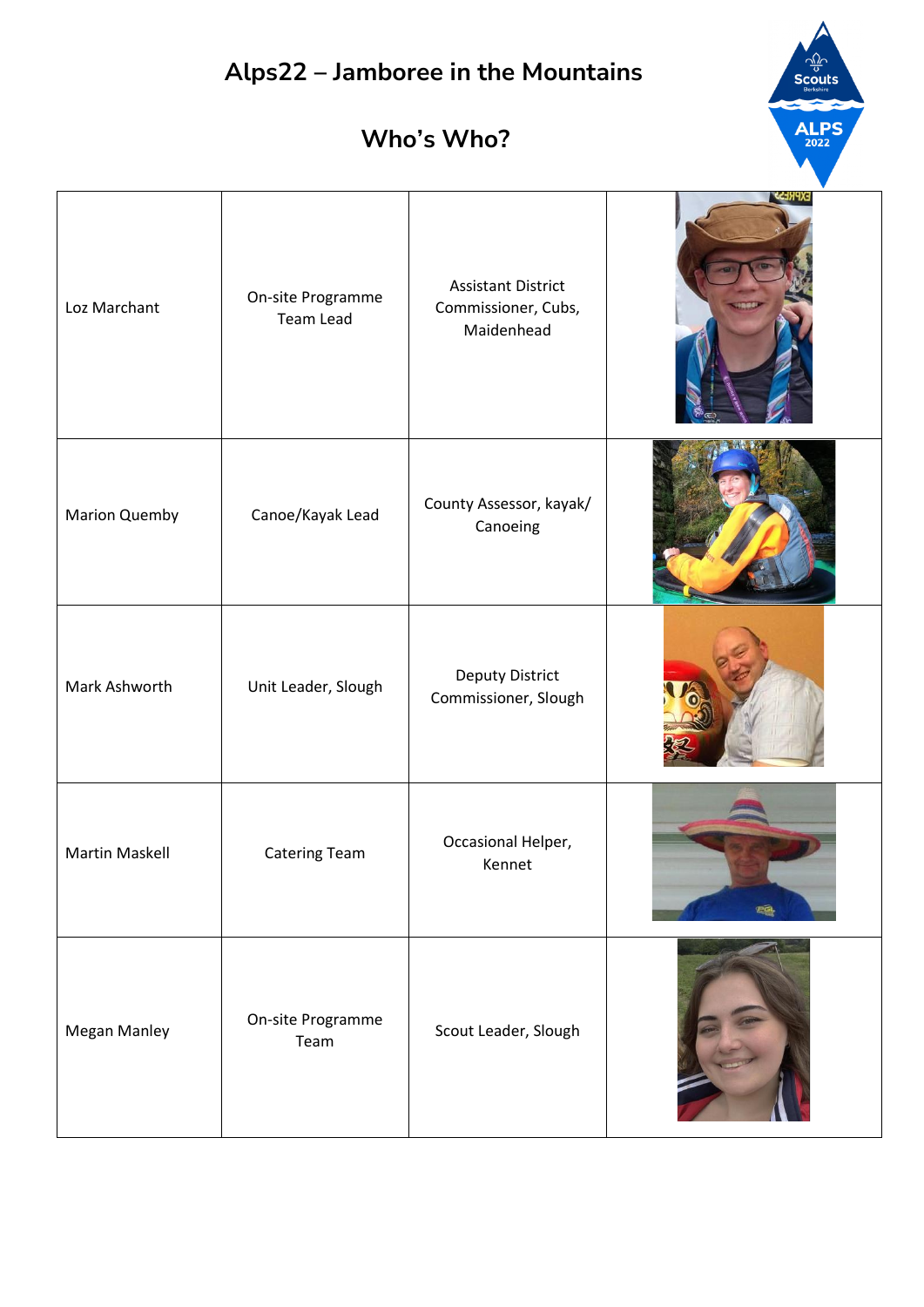# **Alps22 – Jamboree in the Mountains ALPS Who's Who?** Assistant District Loz Marchant **On-site Programme** Commissioner, Cubs, Team Lead Maidenhead Marion Quemby Canoe/Kayak Lead County Assessor, kayak/ Canoeing Mark Ashworth Unit Leader, Slough Deputy District Commissioner, Slough Occasional Helper, Martin Maskell **Catering Team** Kennet gê Megan Manley **On-site Programme** Scout Leader, SloughTeam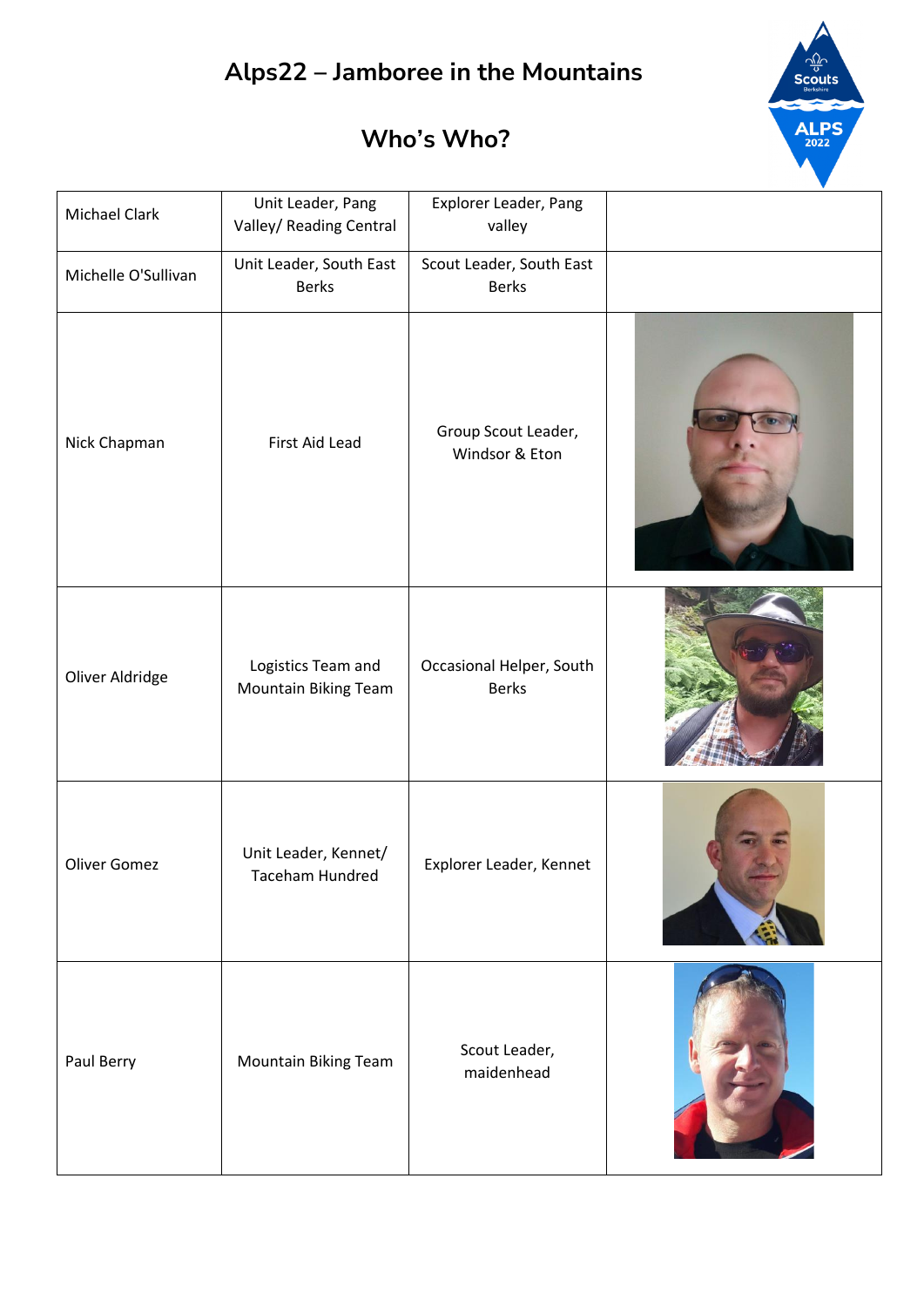

| <b>Michael Clark</b> | Unit Leader, Pang<br>Valley/ Reading Central | Explorer Leader, Pang<br>valley          |  |
|----------------------|----------------------------------------------|------------------------------------------|--|
| Michelle O'Sullivan  | Unit Leader, South East<br><b>Berks</b>      | Scout Leader, South East<br><b>Berks</b> |  |
| Nick Chapman         | First Aid Lead                               | Group Scout Leader,<br>Windsor & Eton    |  |
| Oliver Aldridge      | Logistics Team and<br>Mountain Biking Team   | Occasional Helper, South<br><b>Berks</b> |  |
| <b>Oliver Gomez</b>  | Unit Leader, Kennet/<br>Taceham Hundred      | Explorer Leader, Kennet                  |  |
| Paul Berry           | Mountain Biking Team                         | Scout Leader,<br>maidenhead              |  |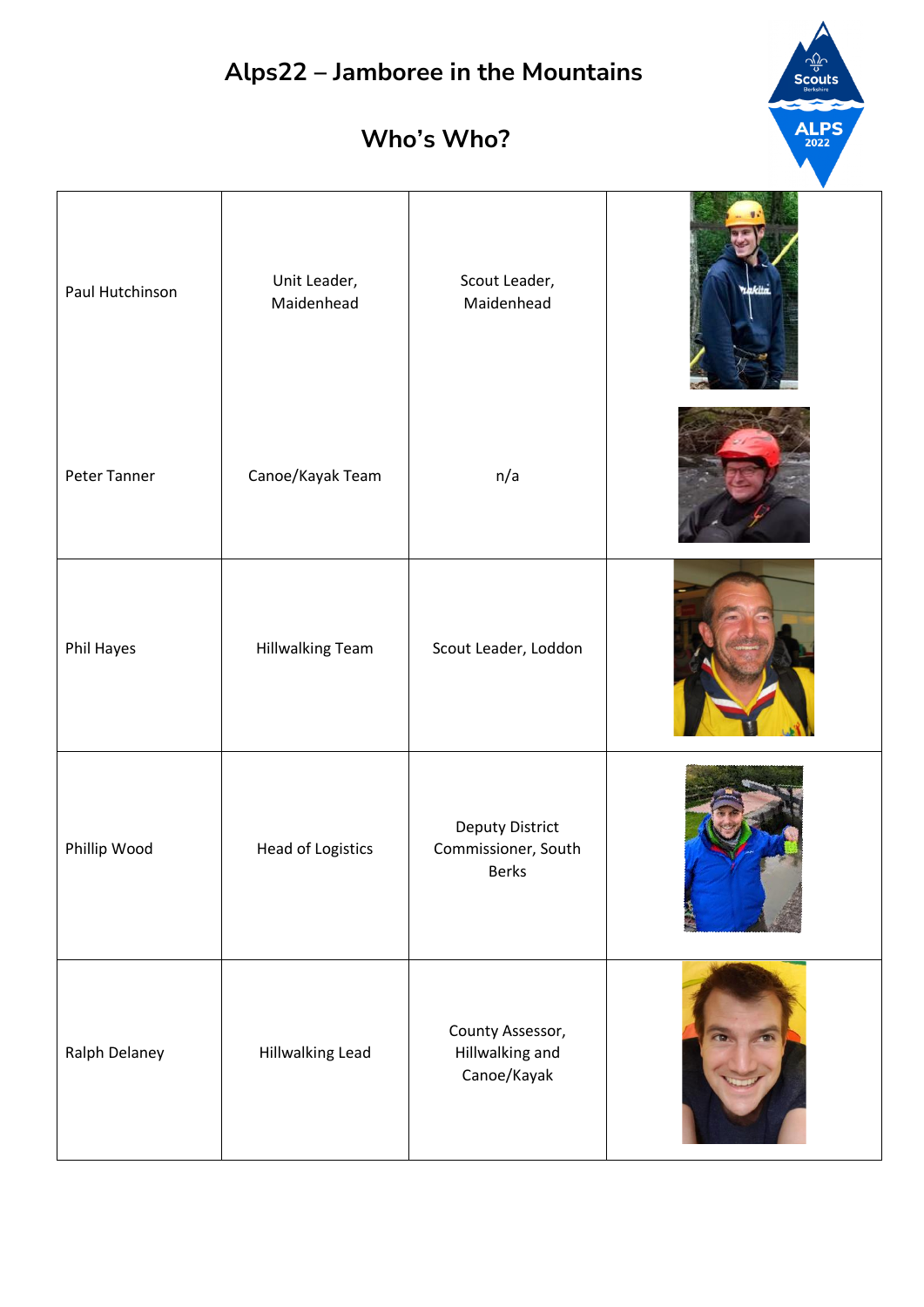| Paul Hutchinson | Unit Leader,<br>Maidenhead | Scout Leader,<br>Maidenhead                        | aakita |
|-----------------|----------------------------|----------------------------------------------------|--------|
| Peter Tanner    | Canoe/Kayak Team           | n/a                                                |        |
| Phil Hayes      | <b>Hillwalking Team</b>    | Scout Leader, Loddon                               |        |
| Phillip Wood    | Head of Logistics          | Deputy District<br>Commissioner, South<br>Berks    |        |
| Ralph Delaney   | Hillwalking Lead           | County Assessor,<br>Hillwalking and<br>Canoe/Kayak |        |

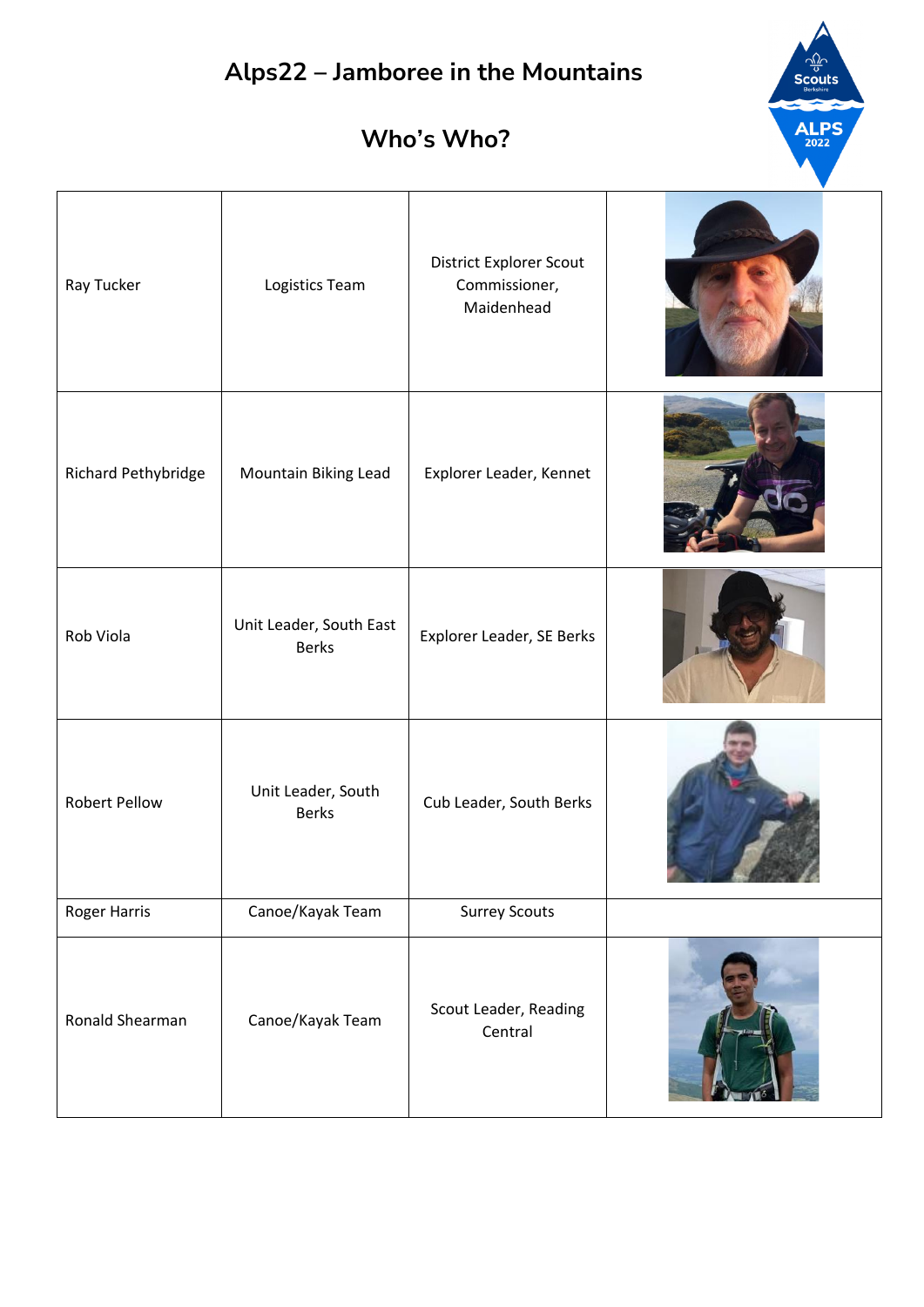$\frac{\sqrt{2}}{3}$ 

 $ALPS<sub>2022</sub>$ 

| Ray Tucker           | Logistics Team                          | District Explorer Scout<br>Commissioner,<br>Maidenhead |  |
|----------------------|-----------------------------------------|--------------------------------------------------------|--|
| Richard Pethybridge  | Mountain Biking Lead                    | Explorer Leader, Kennet                                |  |
| Rob Viola            | Unit Leader, South East<br><b>Berks</b> | Explorer Leader, SE Berks                              |  |
| <b>Robert Pellow</b> | Unit Leader, South<br><b>Berks</b>      | Cub Leader, South Berks                                |  |
| Roger Harris         | Canoe/Kayak Team                        | <b>Surrey Scouts</b>                                   |  |
| Ronald Shearman      | Canoe/Kayak Team                        | Scout Leader, Reading<br>Central                       |  |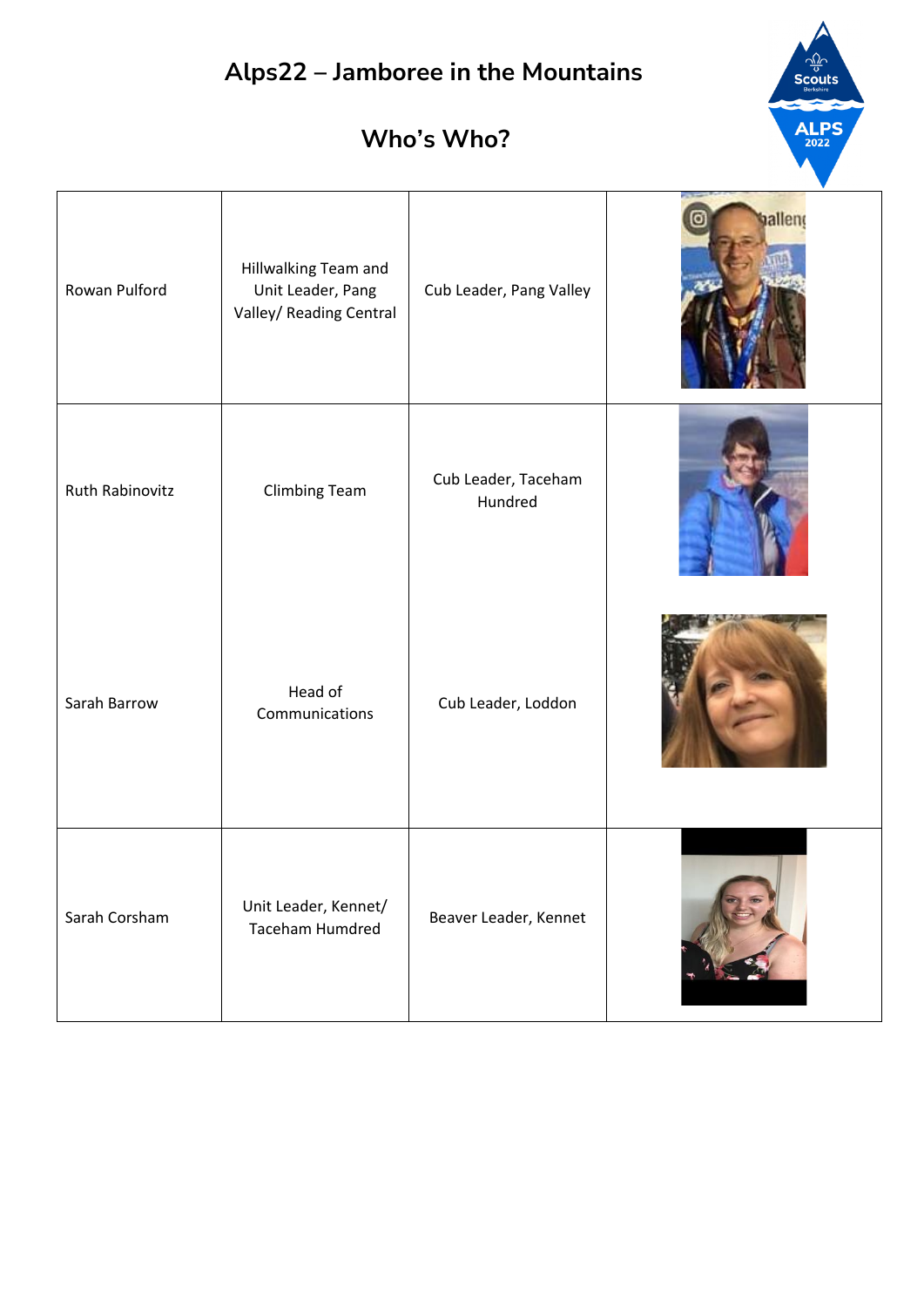

| Rowan Pulford   | Hillwalking Team and<br>Unit Leader, Pang<br>Valley/ Reading Central | Cub Leader, Pang Valley        | valleng |
|-----------------|----------------------------------------------------------------------|--------------------------------|---------|
| Ruth Rabinovitz | <b>Climbing Team</b>                                                 | Cub Leader, Taceham<br>Hundred |         |
| Sarah Barrow    | Head of<br>Communications                                            | Cub Leader, Loddon             |         |
| Sarah Corsham   | Unit Leader, Kennet/<br><b>Taceham Humdred</b>                       | Beaver Leader, Kennet          |         |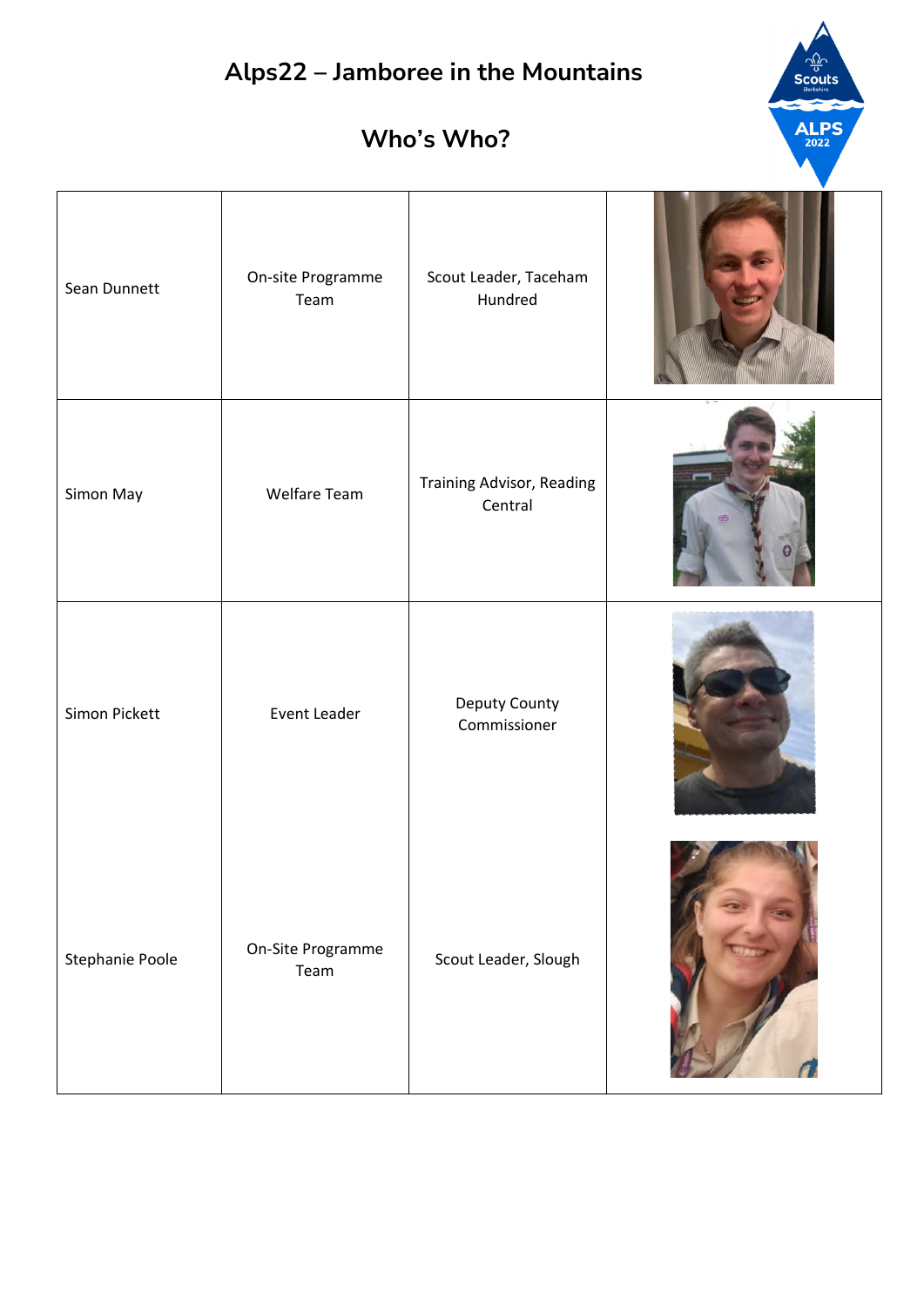$\frac{1}{\sqrt{2}}$ <br>Scouts

**ALPS** 

| Sean Dunnett    | On-site Programme<br>Team | Scout Leader, Taceham<br>Hundred     |  |
|-----------------|---------------------------|--------------------------------------|--|
| Simon May       | Welfare Team              | Training Advisor, Reading<br>Central |  |
| Simon Pickett   | Event Leader              | Deputy County<br>Commissioner        |  |
| Stephanie Poole | On-Site Programme<br>Team | Scout Leader, Slough                 |  |